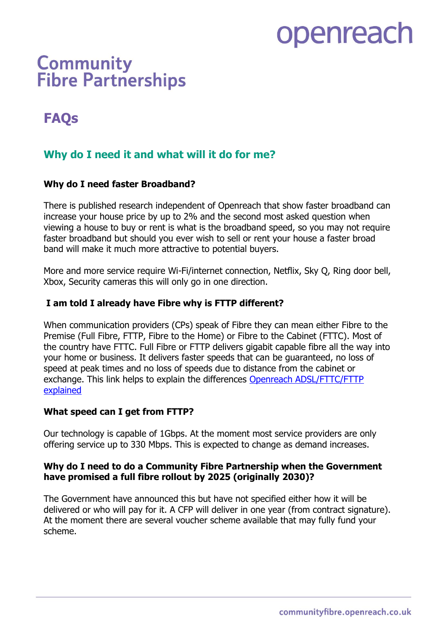# openreach

# **Community Fibre Partnerships**

## **FAQs**

## **Why do I need it and what will it do for me?**

## **Why do I need faster Broadband?**

There is published research independent of Openreach that show faster broadband can increase your house price by up to 2% and the second most asked question when viewing a house to buy or rent is what is the broadband speed, so you may not require faster broadband but should you ever wish to sell or rent your house a faster broad band will make it much more attractive to potential buyers.

More and more service require Wi-Fi/internet connection, Netflix, Sky Q, Ring door bell, Xbox, Security cameras this will only go in one direction.

## **I am told I already have Fibre why is FTTP different?**

When communication providers (CPs) speak of Fibre they can mean either Fibre to the Premise (Full Fibre, FTTP, Fibre to the Home) or Fibre to the Cabinet (FTTC). Most of the country have FTTC. Full Fibre or FTTP delivers gigabit capable fibre all the way into your home or business. It delivers faster speeds that can be guaranteed, no loss of speed at peak times and no loss of speeds due to distance from the cabinet or exchange. This link helps to explain the differences Openreach ADSL/FTTC/FTTP explained

## **What speed can I get from FTTP?**

Our technology is capable of 1Gbps. At the moment most service providers are only offering service up to 330 Mbps. This is expected to change as demand increases.

## **Why do I need to do a Community Fibre Partnership when the Government have promised a full fibre rollout by 2025 (originally 2030)?**

The Government have announced this but have not specified either how it will be delivered or who will pay for it. A CFP will deliver in one year (from contract signature). At the moment there are several voucher scheme available that may fully fund your scheme.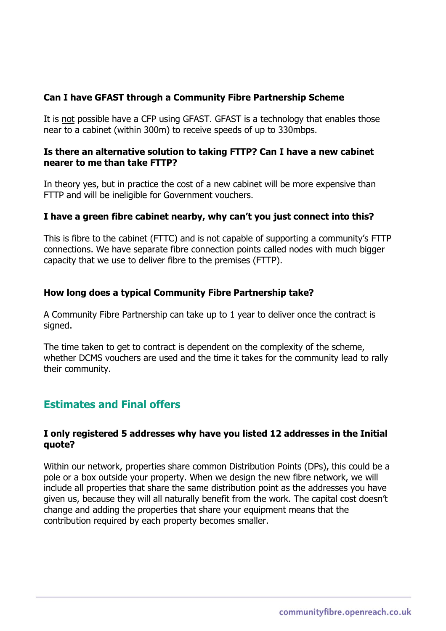## **Can I have GFAST through a Community Fibre Partnership Scheme**

It is not possible have a CFP using GFAST. GFAST is a technology that enables those near to a cabinet (within 300m) to receive speeds of up to 330mbps.

## **Is there an alternative solution to taking FTTP? Can I have a new cabinet nearer to me than take FTTP?**

In theory yes, but in practice the cost of a new cabinet will be more expensive than FTTP and will be ineligible for Government vouchers.

## **I have a green fibre cabinet nearby, why can't you just connect into this?**

This is fibre to the cabinet (FTTC) and is not capable of supporting a community's FTTP connections. We have separate fibre connection points called nodes with much bigger capacity that we use to deliver fibre to the premises (FTTP).

## **How long does a typical Community Fibre Partnership take?**

A Community Fibre Partnership can take up to 1 year to deliver once the contract is signed.

The time taken to get to contract is dependent on the complexity of the scheme, whether DCMS vouchers are used and the time it takes for the community lead to rally their community.

## **Estimates and Final offers**

## **I only registered 5 addresses why have you listed 12 addresses in the Initial quote?**

Within our network, properties share common Distribution Points (DPs), this could be a pole or a box outside your property. When we design the new fibre network, we will include all properties that share the same distribution point as the addresses you have given us, because they will all naturally benefit from the work. The capital cost doesn't change and adding the properties that share your equipment means that the contribution required by each property becomes smaller.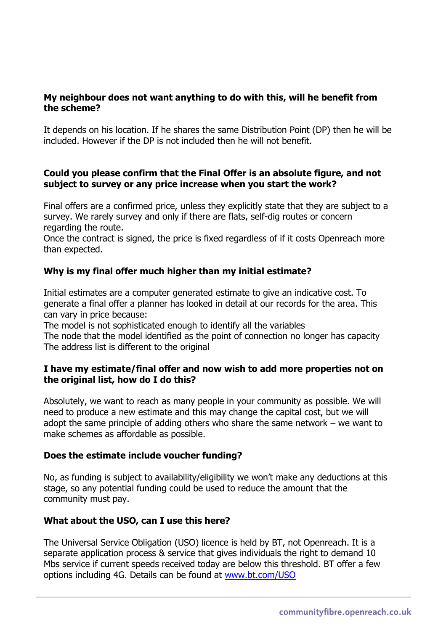## **My neighbour does not want anything to do with this, will he benefit from the scheme?**

It depends on his location. If he shares the same Distribution Point (DP) then he will be included. However if the DP is not included then he will not benefit.

## **Could you please confirm that the Final Offer is an absolute figure, and not subject to survey or any price increase when you start the work?**

Final offers are a confirmed price, unless they explicitly state that they are subject to a survey. We rarely survey and only if there are flats, self-dig routes or concern regarding the route.

Once the contract is signed, the price is fixed regardless of if it costs Openreach more than expected.

## **Why is my final offer much higher than my initial estimate?**

Initial estimates are a computer generated estimate to give an indicative cost. To generate a final offer a planner has looked in detail at our records for the area. This can vary in price because:

The model is not sophisticated enough to identify all the variables The node that the model identified as the point of connection no longer has capacity The address list is different to the original

## **I have my estimate/final offer and now wish to add more properties not on the original list, how do I do this?**

Absolutely, we want to reach as many people in your community as possible. We will need to produce a new estimate and this may change the capital cost, but we will adopt the same principle of adding others who share the same network – we want to make schemes as affordable as possible.

## **Does the estimate include voucher funding?**

No, as funding is subject to availability/eligibility we won't make any deductions at this stage, so any potential funding could be used to reduce the amount that the community must pay.

## **What about the USO, can I use this here?**

The Universal Service Obligation (USO) licence is held by BT, not Openreach. It is a separate application process & service that gives individuals the right to demand 10 Mbs service if current speeds received today are below this threshold. BT offer a few options including 4G. Details can be found at www.bt.com/USO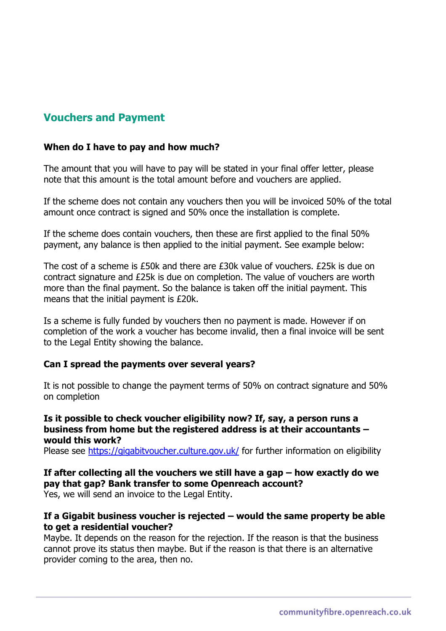## **Vouchers and Payment**

## **When do I have to pay and how much?**

The amount that you will have to pay will be stated in your final offer letter, please note that this amount is the total amount before and vouchers are applied.

If the scheme does not contain any vouchers then you will be invoiced 50% of the total amount once contract is signed and 50% once the installation is complete.

If the scheme does contain vouchers, then these are first applied to the final 50% payment, any balance is then applied to the initial payment. See example below:

The cost of a scheme is £50k and there are £30k value of vouchers. £25k is due on contract signature and £25k is due on completion. The value of vouchers are worth more than the final payment. So the balance is taken off the initial payment. This means that the initial payment is £20k.

Is a scheme is fully funded by vouchers then no payment is made. However if on completion of the work a voucher has become invalid, then a final invoice will be sent to the Legal Entity showing the balance.

## **Can I spread the payments over several years?**

It is not possible to change the payment terms of 50% on contract signature and 50% on completion

## **Is it possible to check voucher eligibility now? If, say, a person runs a business from home but the registered address is at their accountants – would this work?**

Please see https://gigabitvoucher.culture.gov.uk/ for further information on eligibility

## **If after collecting all the vouchers we still have a gap – how exactly do we pay that gap? Bank transfer to some Openreach account?**

Yes, we will send an invoice to the Legal Entity.

## **If a Gigabit business voucher is rejected – would the same property be able to get a residential voucher?**

Maybe. It depends on the reason for the rejection. If the reason is that the business cannot prove its status then maybe. But if the reason is that there is an alternative provider coming to the area, then no.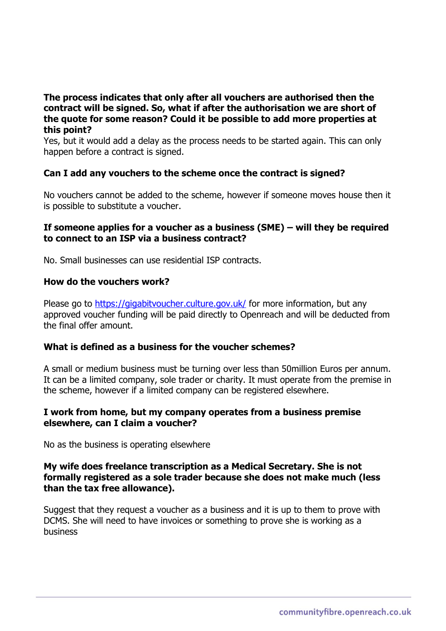## **The process indicates that only after all vouchers are authorised then the contract will be signed. So, what if after the authorisation we are short of the quote for some reason? Could it be possible to add more properties at this point?**

Yes, but it would add a delay as the process needs to be started again. This can only happen before a contract is signed.

## **Can I add any vouchers to the scheme once the contract is signed?**

No vouchers cannot be added to the scheme, however if someone moves house then it is possible to substitute a voucher.

## **If someone applies for a voucher as a business (SME) – will they be required to connect to an ISP via a business contract?**

No. Small businesses can use residential ISP contracts.

## **How do the vouchers work?**

Please go to https://gigabitvoucher.culture.gov.uk/ for more information, but any approved voucher funding will be paid directly to Openreach and will be deducted from the final offer amount.

## **What is defined as a business for the voucher schemes?**

A small or medium business must be turning over less than 50million Euros per annum. It can be a limited company, sole trader or charity. It must operate from the premise in the scheme, however if a limited company can be registered elsewhere.

## **I work from home, but my company operates from a business premise elsewhere, can I claim a voucher?**

No as the business is operating elsewhere

## **My wife does freelance transcription as a Medical Secretary. She is not formally registered as a sole trader because she does not make much (less than the tax free allowance).**

Suggest that they request a voucher as a business and it is up to them to prove with DCMS. She will need to have invoices or something to prove she is working as a business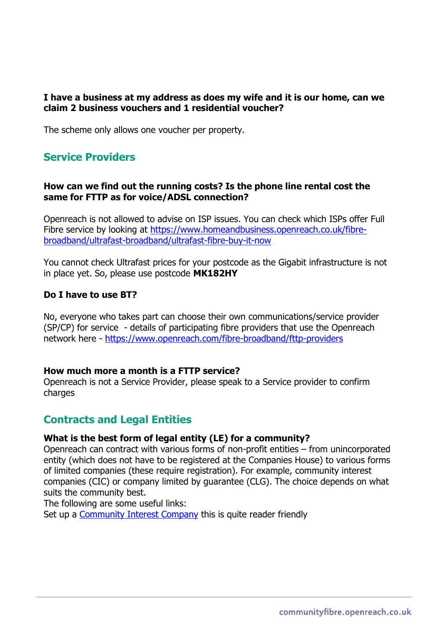## **I have a business at my address as does my wife and it is our home, can we claim 2 business vouchers and 1 residential voucher?**

The scheme only allows one voucher per property.

## **Service Providers**

## **How can we find out the running costs? Is the phone line rental cost the same for FTTP as for voice/ADSL connection?**

Openreach is not allowed to advise on ISP issues. You can check which ISPs offer Full Fibre service by looking at https://www.homeandbusiness.openreach.co.uk/fibrebroadband/ultrafast-broadband/ultrafast-fibre-buy-it-now

You cannot check Ultrafast prices for your postcode as the Gigabit infrastructure is not in place yet. So, please use postcode **MK182HY**

## **Do I have to use BT?**

No, everyone who takes part can choose their own communications/service provider (SP/CP) for service - details of participating fibre providers that use the Openreach network here - https://www.openreach.com/fibre-broadband/fttp-providers

## **How much more a month is a FTTP service?**

Openreach is not a Service Provider, please speak to a Service provider to confirm charges

## **Contracts and Legal Entities**

## **What is the best form of legal entity (LE) for a community?**

Openreach can contract with various forms of non-profit entities – from unincorporated entity (which does not have to be registered at the Companies House) to various forms of limited companies (these require registration). For example, community interest companies (CIC) or company limited by guarantee (CLG). The choice depends on what suits the community best.

The following are some useful links:

Set up a Community Interest Company this is quite reader friendly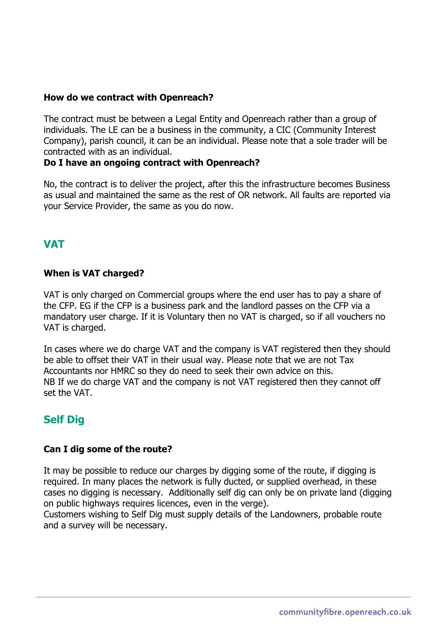## **How do we contract with Openreach?**

The contract must be between a Legal Entity and Openreach rather than a group of individuals. The LE can be a business in the community, a CIC (Community Interest Company), parish council, it can be an individual. Please note that a sole trader will be contracted with as an individual.

## **Do I have an ongoing contract with Openreach?**

No, the contract is to deliver the project, after this the infrastructure becomes Business as usual and maintained the same as the rest of OR network. All faults are reported via your Service Provider, the same as you do now.

## **VAT**

## **When is VAT charged?**

VAT is only charged on Commercial groups where the end user has to pay a share of the CFP. EG if the CFP is a business park and the landlord passes on the CFP via a mandatory user charge. If it is Voluntary then no VAT is charged, so if all vouchers no VAT is charged.

In cases where we do charge VAT and the company is VAT registered then they should be able to offset their VAT in their usual way. Please note that we are not Tax Accountants nor HMRC so they do need to seek their own advice on this. NB If we do charge VAT and the company is not VAT registered then they cannot off set the VAT.

## **Self Dig**

## **Can I dig some of the route?**

It may be possible to reduce our charges by digging some of the route, if digging is required. In many places the network is fully ducted, or supplied overhead, in these cases no digging is necessary. Additionally self dig can only be on private land (digging on public highways requires licences, even in the verge).

Customers wishing to Self Dig must supply details of the Landowners, probable route and a survey will be necessary.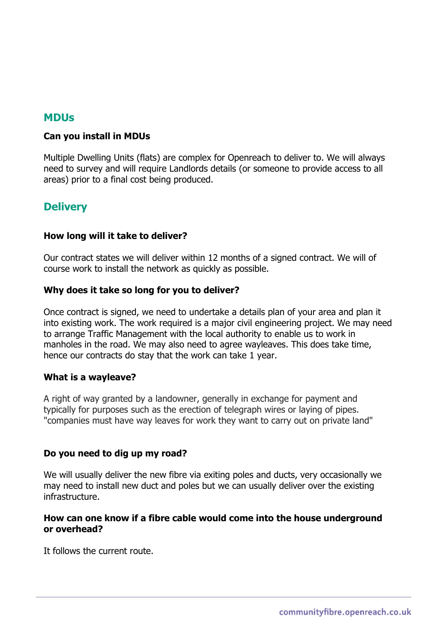## **MDUs**

## **Can you install in MDUs**

Multiple Dwelling Units (flats) are complex for Openreach to deliver to. We will always need to survey and will require Landlords details (or someone to provide access to all areas) prior to a final cost being produced.

## **Delivery**

## **How long will it take to deliver?**

Our contract states we will deliver within 12 months of a signed contract. We will of course work to install the network as quickly as possible.

## **Why does it take so long for you to deliver?**

Once contract is signed, we need to undertake a details plan of your area and plan it into existing work. The work required is a major civil engineering project. We may need to arrange Traffic Management with the local authority to enable us to work in manholes in the road. We may also need to agree wayleaves. This does take time, hence our contracts do stay that the work can take 1 year.

## **What is a wayleave?**

A right of way granted by a landowner, generally in exchange for payment and typically for purposes such as the erection of telegraph wires or laying of pipes. "companies must have way leaves for work they want to carry out on private land"

## **Do you need to dig up my road?**

We will usually deliver the new fibre via exiting poles and ducts, very occasionally we may need to install new duct and poles but we can usually deliver over the existing infrastructure.

## **How can one know if a fibre cable would come into the house underground or overhead?**

It follows the current route.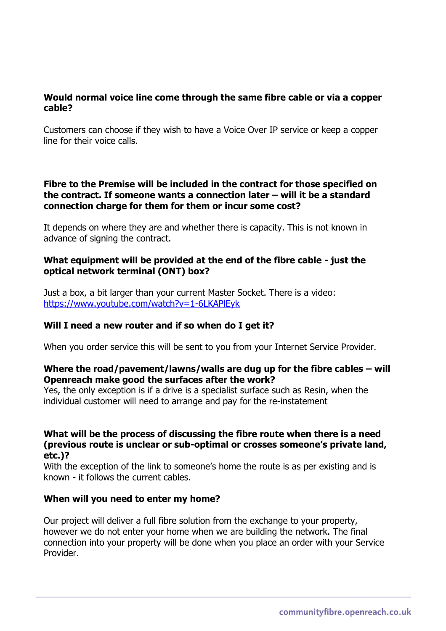## **Would normal voice line come through the same fibre cable or via a copper cable?**

Customers can choose if they wish to have a Voice Over IP service or keep a copper line for their voice calls.

## **Fibre to the Premise will be included in the contract for those specified on the contract. If someone wants a connection later – will it be a standard connection charge for them for them or incur some cost?**

It depends on where they are and whether there is capacity. This is not known in advance of signing the contract.

## **What equipment will be provided at the end of the fibre cable - just the optical network terminal (ONT) box?**

Just a box, a bit larger than your current Master Socket. There is a video: https://www.youtube.com/watch?v=1-6LKAPlEyk

## **Will I need a new router and if so when do I get it?**

When you order service this will be sent to you from your Internet Service Provider.

## **Where the road/pavement/lawns/walls are dug up for the fibre cables – will Openreach make good the surfaces after the work?**

Yes, the only exception is if a drive is a specialist surface such as Resin, when the individual customer will need to arrange and pay for the re-instatement

## **What will be the process of discussing the fibre route when there is a need (previous route is unclear or sub-optimal or crosses someone's private land, etc.)?**

With the exception of the link to someone's home the route is as per existing and is known - it follows the current cables.

## **When will you need to enter my home?**

Our project will deliver a full fibre solution from the exchange to your property, however we do not enter your home when we are building the network. The final connection into your property will be done when you place an order with your Service Provider.